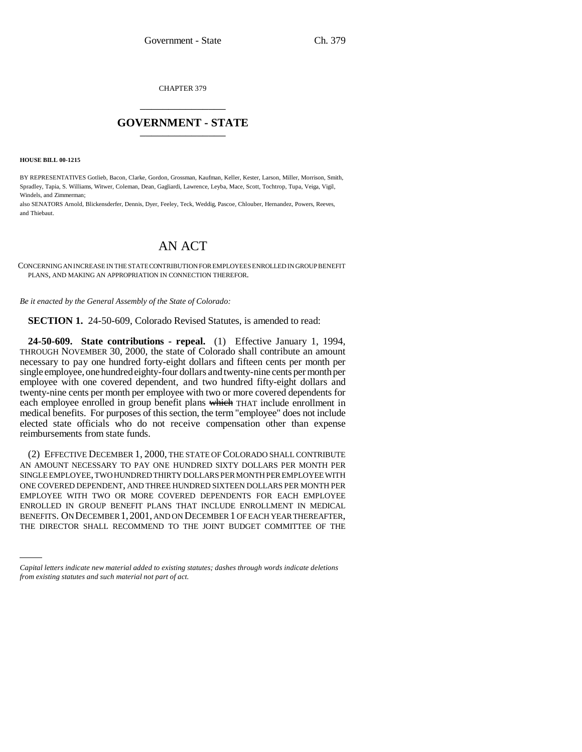CHAPTER 379 \_\_\_\_\_\_\_\_\_\_\_\_\_\_\_

## **GOVERNMENT - STATE** \_\_\_\_\_\_\_\_\_\_\_\_\_\_\_

**HOUSE BILL 00-1215** 

BY REPRESENTATIVES Gotlieb, Bacon, Clarke, Gordon, Grossman, Kaufman, Keller, Kester, Larson, Miller, Morrison, Smith, Spradley, Tapia, S. Williams, Witwer, Coleman, Dean, Gagliardi, Lawrence, Leyba, Mace, Scott, Tochtrop, Tupa, Veiga, Vigil, Windels, and Zimmerman;

also SENATORS Arnold, Blickensderfer, Dennis, Dyer, Feeley, Teck, Weddig, Pascoe, Chlouber, Hernandez, Powers, Reeves, and Thiebaut.

## AN ACT

CONCERNING AN INCREASE IN THE STATE CONTRIBUTION FOR EMPLOYEES ENROLLED IN GROUP BENEFIT PLANS, AND MAKING AN APPROPRIATION IN CONNECTION THEREFOR.

*Be it enacted by the General Assembly of the State of Colorado:*

**SECTION 1.** 24-50-609, Colorado Revised Statutes, is amended to read:

**24-50-609. State contributions - repeal.** (1) Effective January 1, 1994, THROUGH NOVEMBER 30, 2000, the state of Colorado shall contribute an amount necessary to pay one hundred forty-eight dollars and fifteen cents per month per single employee, one hundred eighty-four dollars and twenty-nine cents per month per employee with one covered dependent, and two hundred fifty-eight dollars and twenty-nine cents per month per employee with two or more covered dependents for each employee enrolled in group benefit plans which THAT include enrollment in medical benefits. For purposes of this section, the term "employee" does not include elected state officials who do not receive compensation other than expense reimbursements from state funds.

BENEFITS. ON DECEMBER 1,2001, AND ON DECEMBER 1 OF EACH YEAR THEREAFTER, (2) EFFECTIVE DECEMBER 1, 2000, THE STATE OF COLORADO SHALL CONTRIBUTE AN AMOUNT NECESSARY TO PAY ONE HUNDRED SIXTY DOLLARS PER MONTH PER SINGLE EMPLOYEE, TWO HUNDRED THIRTY DOLLARS PER MONTH PER EMPLOYEE WITH ONE COVERED DEPENDENT, AND THREE HUNDRED SIXTEEN DOLLARS PER MONTH PER EMPLOYEE WITH TWO OR MORE COVERED DEPENDENTS FOR EACH EMPLOYEE ENROLLED IN GROUP BENEFIT PLANS THAT INCLUDE ENROLLMENT IN MEDICAL THE DIRECTOR SHALL RECOMMEND TO THE JOINT BUDGET COMMITTEE OF THE

*Capital letters indicate new material added to existing statutes; dashes through words indicate deletions from existing statutes and such material not part of act.*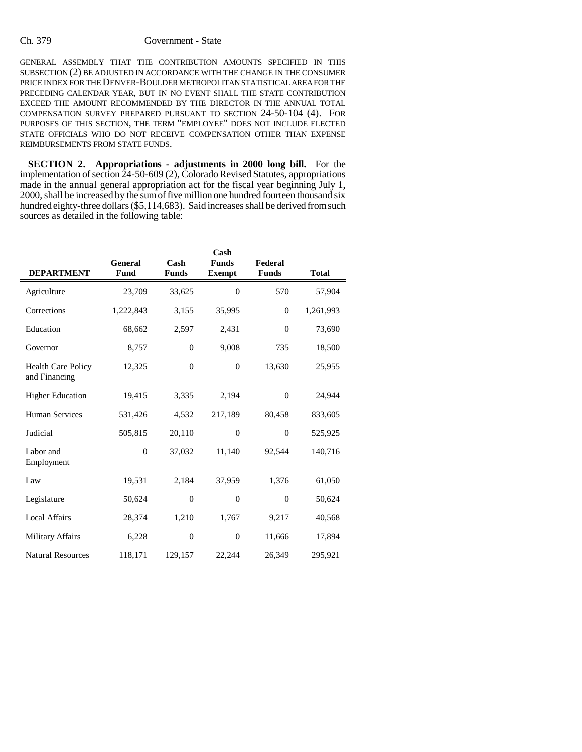## Ch. 379 Government - State

GENERAL ASSEMBLY THAT THE CONTRIBUTION AMOUNTS SPECIFIED IN THIS SUBSECTION (2) BE ADJUSTED IN ACCORDANCE WITH THE CHANGE IN THE CONSUMER PRICE INDEX FOR THE DENVER-BOULDER METROPOLITAN STATISTICAL AREA FOR THE PRECEDING CALENDAR YEAR, BUT IN NO EVENT SHALL THE STATE CONTRIBUTION EXCEED THE AMOUNT RECOMMENDED BY THE DIRECTOR IN THE ANNUAL TOTAL COMPENSATION SURVEY PREPARED PURSUANT TO SECTION 24-50-104 (4). FOR PURPOSES OF THIS SECTION, THE TERM "EMPLOYEE" DOES NOT INCLUDE ELECTED STATE OFFICIALS WHO DO NOT RECEIVE COMPENSATION OTHER THAN EXPENSE REIMBURSEMENTS FROM STATE FUNDS.

**SECTION 2. Appropriations - adjustments in 2000 long bill.** For the implementation of section 24-50-609 (2), Colorado Revised Statutes, appropriations made in the annual general appropriation act for the fiscal year beginning July 1, 2000, shall be increased by the sum of five million one hundred fourteen thousand six hundred eighty-three dollars (\$5,114,683). Said increases shall be derived from such sources as detailed in the following table:

|                                            |                        |                      | Cash                          |                         |              |
|--------------------------------------------|------------------------|----------------------|-------------------------------|-------------------------|--------------|
| <b>DEPARTMENT</b>                          | General<br><b>Fund</b> | Cash<br><b>Funds</b> | <b>Funds</b><br><b>Exempt</b> | Federal<br><b>Funds</b> | <b>Total</b> |
| Agriculture                                | 23,709                 | 33,625               | $\Omega$                      | 570                     | 57,904       |
| Corrections                                | 1,222,843              | 3,155                | 35,995                        | $\boldsymbol{0}$        | 1,261,993    |
| Education                                  | 68,662                 | 2,597                | 2,431                         | $\theta$                | 73,690       |
| Governor                                   | 8,757                  | $\theta$             | 9,008                         | 735                     | 18,500       |
| <b>Health Care Policy</b><br>and Financing | 12,325                 | $\theta$             | $\theta$                      | 13,630                  | 25,955       |
| <b>Higher Education</b>                    | 19,415                 | 3,335                | 2,194                         | $\theta$                | 24,944       |
| <b>Human Services</b>                      | 531,426                | 4,532                | 217,189                       | 80,458                  | 833,605      |
| Judicial                                   | 505,815                | 20,110               | $\theta$                      | $\theta$                | 525,925      |
| Labor and<br>Employment                    | $\mathbf{0}$           | 37,032               | 11,140                        | 92,544                  | 140,716      |
| Law                                        | 19,531                 | 2,184                | 37,959                        | 1,376                   | 61,050       |
| Legislature                                | 50,624                 | $\theta$             | $\theta$                      | $\theta$                | 50,624       |
| <b>Local Affairs</b>                       | 28,374                 | 1,210                | 1,767                         | 9,217                   | 40,568       |
| <b>Military Affairs</b>                    | 6,228                  | $\theta$             | $\boldsymbol{0}$              | 11,666                  | 17,894       |
| <b>Natural Resources</b>                   | 118,171                | 129,157              | 22,244                        | 26,349                  | 295,921      |